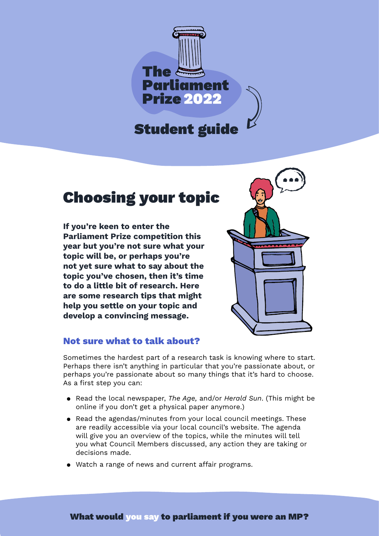

# Choosing your topic

**If you're keen to enter the Parliament Prize competition this year but you're not sure what your topic will be, or perhaps you're not yet sure what to say about the topic you've chosen, then it's time to do a little bit of research. Here are some research tips that might help you settle on your topic and develop a convincing message.**



# **Not sure what to talk about?**

Sometimes the hardest part of a research task is knowing where to start. Perhaps there isn't anything in particular that you're passionate about, or perhaps you're passionate about so many things that it's hard to choose. As a first step you can:

- Read the local newspaper, *The Age,* and/or *Herald Sun*. (This might be online if you don't get a physical paper anymore.)
- Read the agendas/minutes from your local council meetings. These are readily accessible via your local council's website. The agenda will give you an overview of the topics, while the minutes will tell you what Council Members discussed, any action they are taking or decisions made.
- Watch a range of news and current affair programs.